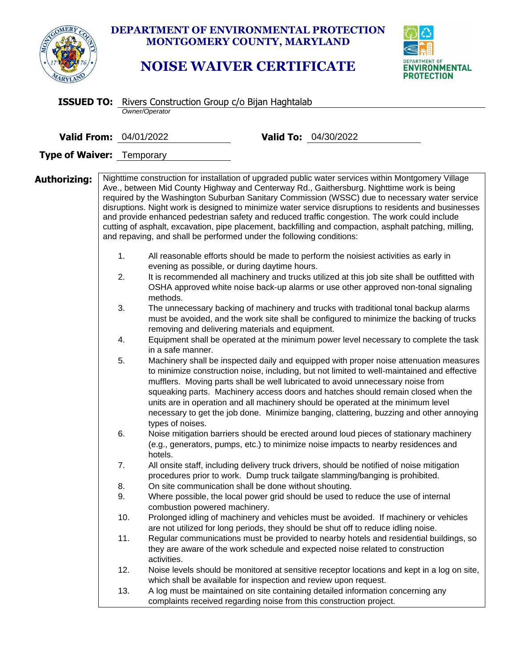|                                                                                   |                       |                               | <b>DEPARTMENT OF ENVIRONMENTAL PROTECTION</b><br>MONTGOMERY COUNTY, MARYLAND<br><b>NOISE WAIVER CERTIFICATE</b>       |                                                                                                                                                                                                                                                                                                                                                                                                                                                                                                                                                                                                      | <b>VIRONMENTAL</b><br>PROTECTION                                                                                                                                                |  |  |  |
|-----------------------------------------------------------------------------------|-----------------------|-------------------------------|-----------------------------------------------------------------------------------------------------------------------|------------------------------------------------------------------------------------------------------------------------------------------------------------------------------------------------------------------------------------------------------------------------------------------------------------------------------------------------------------------------------------------------------------------------------------------------------------------------------------------------------------------------------------------------------------------------------------------------------|---------------------------------------------------------------------------------------------------------------------------------------------------------------------------------|--|--|--|
| <b>ISSUED TO:</b> Rivers Construction Group c/o Bijan Haghtalab<br>Owner/Operator |                       |                               |                                                                                                                       |                                                                                                                                                                                                                                                                                                                                                                                                                                                                                                                                                                                                      |                                                                                                                                                                                 |  |  |  |
| Valid To: 04/30/2022<br><b>Valid From: 04/01/2022</b>                             |                       |                               |                                                                                                                       |                                                                                                                                                                                                                                                                                                                                                                                                                                                                                                                                                                                                      |                                                                                                                                                                                 |  |  |  |
| <b>Type of Waiver: Temporary</b>                                                  |                       |                               |                                                                                                                       |                                                                                                                                                                                                                                                                                                                                                                                                                                                                                                                                                                                                      |                                                                                                                                                                                 |  |  |  |
| Authorizing:                                                                      | 1.<br>2.              |                               | and repaving, and shall be performed under the following conditions:<br>evening as possible, or during daytime hours. | Nighttime construction for installation of upgraded public water services within Montgomery Village<br>Ave., between Mid County Highway and Centerway Rd., Gaithersburg. Nighttime work is being<br>required by the Washington Suburban Sanitary Commission (WSSC) due to necessary water service<br>and provide enhanced pedestrian safety and reduced traffic congestion. The work could include<br>cutting of asphalt, excavation, pipe placement, backfilling and compaction, asphalt patching, milling,<br>All reasonable efforts should be made to perform the noisiest activities as early in | disruptions. Night work is designed to minimize water service disruptions to residents and businesses                                                                           |  |  |  |
|                                                                                   | 3.<br>4.<br>5.        | methods.<br>in a safe manner. | removing and delivering materials and equipment.                                                                      | It is recommended all machinery and trucks utilized at this job site shall be outfitted with<br>OSHA approved white noise back-up alarms or use other approved non-tonal signaling<br>The unnecessary backing of machinery and trucks with traditional tonal backup alarms<br>must be avoided, and the work site shall be configured to minimize the backing of trucks<br>to minimize construction noise, including, but not limited to well-maintained and effective<br>mufflers. Moving parts shall be well lubricated to avoid unnecessary noise from                                             | Equipment shall be operated at the minimum power level necessary to complete the task<br>Machinery shall be inspected daily and equipped with proper noise attenuation measures |  |  |  |
|                                                                                   | 6.                    | types of noises.<br>hotels.   |                                                                                                                       | squeaking parts. Machinery access doors and hatches should remain closed when the<br>units are in operation and all machinery should be operated at the minimum level<br>necessary to get the job done. Minimize banging, clattering, buzzing and other annoying<br>Noise mitigation barriers should be erected around loud pieces of stationary machinery<br>(e.g., generators, pumps, etc.) to minimize noise impacts to nearby residences and                                                                                                                                                     |                                                                                                                                                                                 |  |  |  |
|                                                                                   | 7.<br>8.<br>9.<br>10. | combustion powered machinery. | On site communication shall be done without shouting.                                                                 | All onsite staff, including delivery truck drivers, should be notified of noise mitigation<br>procedures prior to work. Dump truck tailgate slamming/banging is prohibited.<br>Where possible, the local power grid should be used to reduce the use of internal<br>Prolonged idling of machinery and vehicles must be avoided. If machinery or vehicles                                                                                                                                                                                                                                             |                                                                                                                                                                                 |  |  |  |
|                                                                                   | 11.<br>12.<br>13.     | activities.                   | which shall be available for inspection and review upon request.                                                      | are not utilized for long periods, they should be shut off to reduce idling noise.<br>Regular communications must be provided to nearby hotels and residential buildings, so<br>they are aware of the work schedule and expected noise related to construction<br>A log must be maintained on site containing detailed information concerning any                                                                                                                                                                                                                                                    | Noise levels should be monitored at sensitive receptor locations and kept in a log on site,                                                                                     |  |  |  |
|                                                                                   |                       |                               |                                                                                                                       | complaints received regarding noise from this construction project.                                                                                                                                                                                                                                                                                                                                                                                                                                                                                                                                  |                                                                                                                                                                                 |  |  |  |